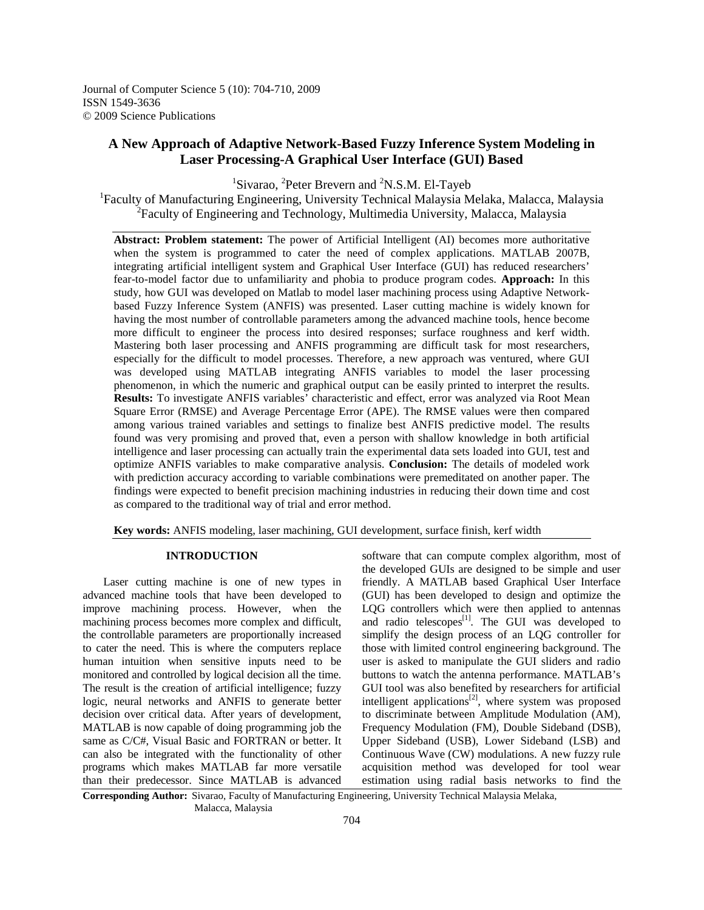Journal of Computer Science 5 (10): 704-710, 2009 ISSN 1549-3636 © 2009 Science Publications

# **A New Approach of Adaptive Network-Based Fuzzy Inference System Modeling in Laser Processing-A Graphical User Interface (GUI) Based**

<sup>1</sup>Sivarao, <sup>2</sup>Peter Brevern and <sup>2</sup>N.S.M. El-Tayeb

<sup>1</sup>Faculty of Manufacturing Engineering, University Technical Malaysia Melaka, Malacca, Malaysia <sup>2</sup> Faculty of Engineering and Technology, Multimedia University, Malacca, Malaysia

**Abstract: Problem statement:** The power of Artificial Intelligent (AI) becomes more authoritative when the system is programmed to cater the need of complex applications. MATLAB 2007B, integrating artificial intelligent system and Graphical User Interface (GUI) has reduced researchers' fear-to-model factor due to unfamiliarity and phobia to produce program codes. **Approach:** In this study, how GUI was developed on Matlab to model laser machining process using Adaptive Networkbased Fuzzy Inference System (ANFIS) was presented. Laser cutting machine is widely known for having the most number of controllable parameters among the advanced machine tools, hence become more difficult to engineer the process into desired responses; surface roughness and kerf width. Mastering both laser processing and ANFIS programming are difficult task for most researchers, especially for the difficult to model processes. Therefore, a new approach was ventured, where GUI was developed using MATLAB integrating ANFIS variables to model the laser processing phenomenon, in which the numeric and graphical output can be easily printed to interpret the results. **Results:** To investigate ANFIS variables' characteristic and effect, error was analyzed via Root Mean Square Error (RMSE) and Average Percentage Error (APE). The RMSE values were then compared among various trained variables and settings to finalize best ANFIS predictive model. The results found was very promising and proved that, even a person with shallow knowledge in both artificial intelligence and laser processing can actually train the experimental data sets loaded into GUI, test and optimize ANFIS variables to make comparative analysis. **Conclusion:** The details of modeled work with prediction accuracy according to variable combinations were premeditated on another paper. The findings were expected to benefit precision machining industries in reducing their down time and cost as compared to the traditional way of trial and error method.

**Key words:** ANFIS modeling, laser machining, GUI development, surface finish, kerf width

### **INTRODUCTION**

 Laser cutting machine is one of new types in advanced machine tools that have been developed to improve machining process. However, when the machining process becomes more complex and difficult, the controllable parameters are proportionally increased to cater the need. This is where the computers replace human intuition when sensitive inputs need to be monitored and controlled by logical decision all the time. The result is the creation of artificial intelligence; fuzzy logic, neural networks and ANFIS to generate better decision over critical data. After years of development, MATLAB is now capable of doing programming job the same as C/C#, Visual Basic and FORTRAN or better. It can also be integrated with the functionality of other programs which makes MATLAB far more versatile than their predecessor. Since MATLAB is advanced

software that can compute complex algorithm, most of the developed GUIs are designed to be simple and user friendly. A MATLAB based Graphical User Interface (GUI) has been developed to design and optimize the LQG controllers which were then applied to antennas and radio telescopes $^{[1]}$ . The GUI was developed to simplify the design process of an LQG controller for those with limited control engineering background. The user is asked to manipulate the GUI sliders and radio buttons to watch the antenna performance. MATLAB's GUI tool was also benefited by researchers for artificial intelligent applications<sup>[2]</sup>, where system was proposed to discriminate between Amplitude Modulation (AM), Frequency Modulation (FM), Double Sideband (DSB), Upper Sideband (USB), Lower Sideband (LSB) and Continuous Wave (CW) modulations. A new fuzzy rule acquisition method was developed for tool wear estimation using radial basis networks to find the

**Corresponding Author:** Sivarao, Faculty of Manufacturing Engineering, University Technical Malaysia Melaka, Malacca, Malaysia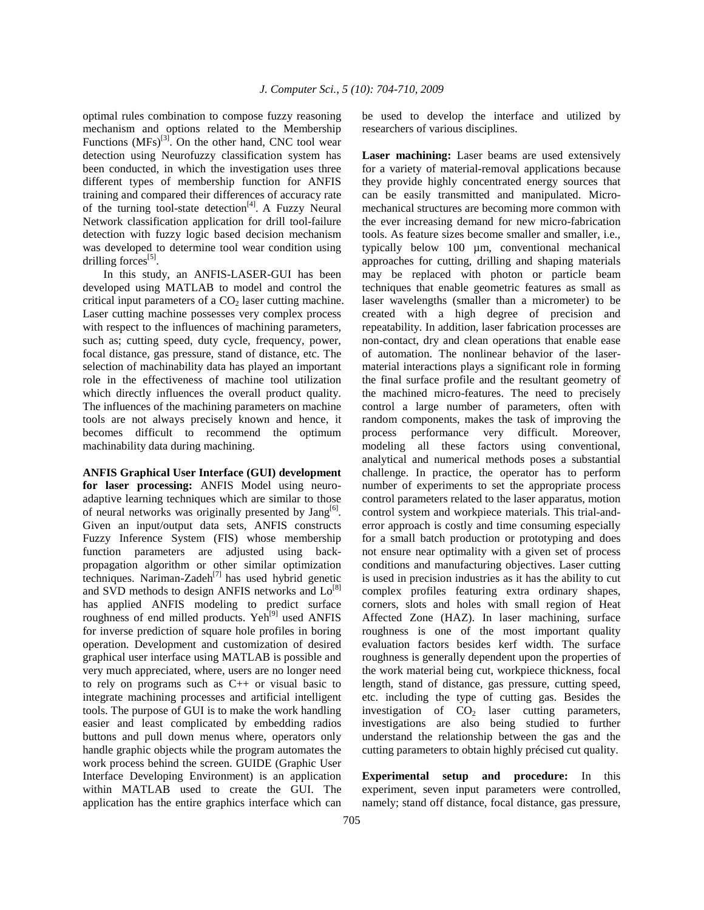optimal rules combination to compose fuzzy reasoning mechanism and options related to the Membership Functions  $(MFs)^{[3]}$ . On the other hand, CNC tool wear detection using Neurofuzzy classification system has been conducted, in which the investigation uses three different types of membership function for ANFIS training and compared their differences of accuracy rate of the turning tool-state detection<sup>[4]</sup>. A Fuzzy Neural Network classification application for drill tool-failure detection with fuzzy logic based decision mechanism was developed to determine tool wear condition using drilling forces<sup>[5]</sup>.

 In this study, an ANFIS-LASER-GUI has been developed using MATLAB to model and control the critical input parameters of a  $CO<sub>2</sub>$  laser cutting machine. Laser cutting machine possesses very complex process with respect to the influences of machining parameters, such as; cutting speed, duty cycle, frequency, power, focal distance, gas pressure, stand of distance, etc. The selection of machinability data has played an important role in the effectiveness of machine tool utilization which directly influences the overall product quality. The influences of the machining parameters on machine tools are not always precisely known and hence, it becomes difficult to recommend the optimum machinability data during machining.

**ANFIS Graphical User Interface (GUI) development for laser processing:** ANFIS Model using neuroadaptive learning techniques which are similar to those of neural networks was originally presented by  $\text{Jang}^{[6]}$ . Given an input/output data sets, ANFIS constructs Fuzzy Inference System (FIS) whose membership function parameters are adjusted using backpropagation algorithm or other similar optimization techniques. Nariman-Zadeh<sup>[7]</sup> has used hybrid genetic and SVD methods to design ANFIS networks and  $Lo^{[8]}$ has applied ANFIS modeling to predict surface roughness of end milled products. Yeh<sup>[9]</sup> used ANFIS for inverse prediction of square hole profiles in boring operation. Development and customization of desired graphical user interface using MATLAB is possible and very much appreciated, where, users are no longer need to rely on programs such as C++ or visual basic to integrate machining processes and artificial intelligent tools. The purpose of GUI is to make the work handling easier and least complicated by embedding radios buttons and pull down menus where, operators only handle graphic objects while the program automates the work process behind the screen. GUIDE (Graphic User Interface Developing Environment) is an application within MATLAB used to create the GUI. The application has the entire graphics interface which can

be used to develop the interface and utilized by researchers of various disciplines.

**Laser machining:** Laser beams are used extensively for a variety of material-removal applications because they provide highly concentrated energy sources that can be easily transmitted and manipulated. Micromechanical structures are becoming more common with the ever increasing demand for new micro-fabrication tools. As feature sizes become smaller and smaller, i.e., typically below 100 µm, conventional mechanical approaches for cutting, drilling and shaping materials may be replaced with photon or particle beam techniques that enable geometric features as small as laser wavelengths (smaller than a micrometer) to be created with a high degree of precision and repeatability. In addition, laser fabrication processes are non-contact, dry and clean operations that enable ease of automation. The nonlinear behavior of the lasermaterial interactions plays a significant role in forming the final surface profile and the resultant geometry of the machined micro-features. The need to precisely control a large number of parameters, often with random components, makes the task of improving the process performance very difficult. Moreover, modeling all these factors using conventional, analytical and numerical methods poses a substantial challenge. In practice, the operator has to perform number of experiments to set the appropriate process control parameters related to the laser apparatus, motion control system and workpiece materials. This trial-anderror approach is costly and time consuming especially for a small batch production or prototyping and does not ensure near optimality with a given set of process conditions and manufacturing objectives. Laser cutting is used in precision industries as it has the ability to cut complex profiles featuring extra ordinary shapes, corners, slots and holes with small region of Heat Affected Zone (HAZ). In laser machining, surface roughness is one of the most important quality evaluation factors besides kerf width. The surface roughness is generally dependent upon the properties of the work material being cut, workpiece thickness, focal length, stand of distance, gas pressure, cutting speed, etc. including the type of cutting gas. Besides the investigation of CO<sub>2</sub> laser cutting parameters, investigations are also being studied to further understand the relationship between the gas and the cutting parameters to obtain highly précised cut quality.

**Experimental setup and procedure:** In this experiment, seven input parameters were controlled, namely; stand off distance, focal distance, gas pressure,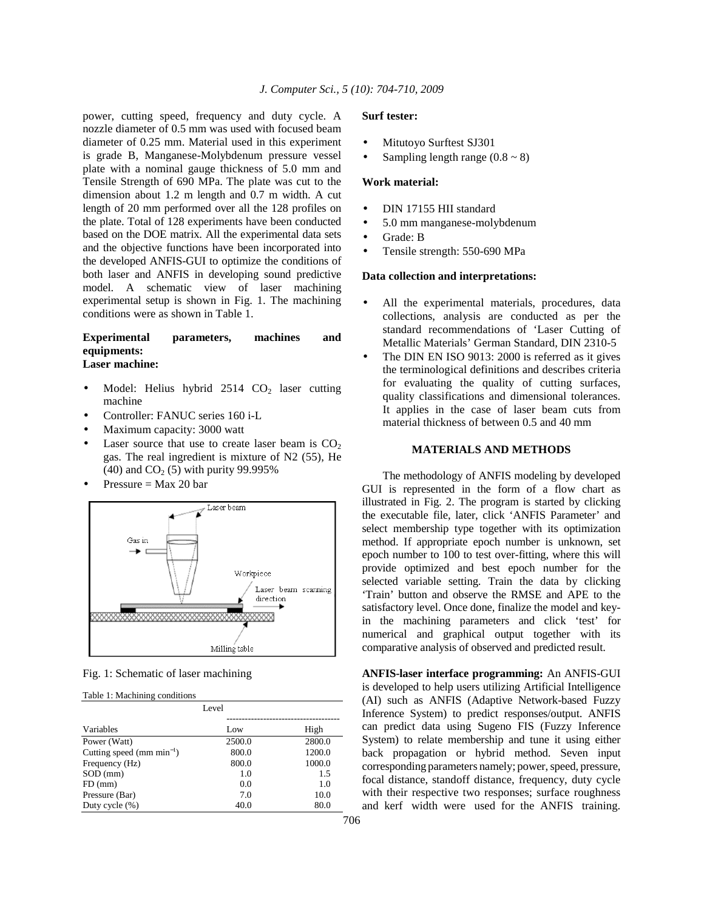power, cutting speed, frequency and duty cycle. A nozzle diameter of 0.5 mm was used with focused beam diameter of 0.25 mm. Material used in this experiment is grade B, Manganese-Molybdenum pressure vessel plate with a nominal gauge thickness of 5.0 mm and Tensile Strength of 690 MPa. The plate was cut to the dimension about 1.2 m length and 0.7 m width. A cut length of 20 mm performed over all the 128 profiles on the plate. Total of 128 experiments have been conducted based on the DOE matrix. All the experimental data sets and the objective functions have been incorporated into the developed ANFIS-GUI to optimize the conditions of both laser and ANFIS in developing sound predictive model. A schematic view of laser machining experimental setup is shown in Fig. 1. The machining conditions were as shown in Table 1.

### **Experimental parameters, machines and equipments: Laser machine:**

- Model: Helius hybrid  $2514$  CO<sub>2</sub> laser cutting machine
- Controller: FANUC series 160 i-L
- Maximum capacity: 3000 watt
- Laser source that use to create laser beam is  $CO<sub>2</sub>$ gas. The real ingredient is mixture of N2 (55), He (40) and  $CO_2$  (5) with purity 99.995%
- Pressure  $=$  Max 20 bar



Fig. 1: Schematic of laser machining

|  | Table 1: Machining conditions |  |
|--|-------------------------------|--|
|--|-------------------------------|--|

| Level                          |        |        |
|--------------------------------|--------|--------|
| Variables                      | Low    | High   |
| Power (Watt)                   | 2500.0 | 2800.0 |
| Cutting speed (mm $min^{-1}$ ) | 800.0  | 1200.0 |
| Frequency (Hz)                 | 800.0  | 1000.0 |
| $SOD$ (mm)                     | 1.0    | 1.5    |
| $FD$ (mm)                      | 0.0    | 1.0    |
| Pressure (Bar)                 | 7.0    | 10.0   |
| Duty cycle $(\% )$             | 40.0   | 80.0   |

#### **Surf tester:**

- Mitutovo Surftest SJ301
- Sampling length range  $(0.8 \sim 8)$

### **Work material:**

- DIN 17155 HII standard
- 5.0 mm manganese-molybdenum
- Grade: B
- Tensile strength: 550-690 MPa

#### **Data collection and interpretations:**

- All the experimental materials, procedures, data collections, analysis are conducted as per the standard recommendations of 'Laser Cutting of Metallic Materials' German Standard, DIN 2310-5
- The DIN EN ISO 9013: 2000 is referred as it gives the terminological definitions and describes criteria for evaluating the quality of cutting surfaces, quality classifications and dimensional tolerances. It applies in the case of laser beam cuts from material thickness of between 0.5 and 40 mm

# **MATERIALS AND METHODS**

 The methodology of ANFIS modeling by developed GUI is represented in the form of a flow chart as illustrated in Fig. 2. The program is started by clicking the executable file, later, click 'ANFIS Parameter' and select membership type together with its optimization method. If appropriate epoch number is unknown, set epoch number to 100 to test over-fitting, where this will provide optimized and best epoch number for the selected variable setting. Train the data by clicking 'Train' button and observe the RMSE and APE to the satisfactory level. Once done, finalize the model and keyin the machining parameters and click 'test' for numerical and graphical output together with its comparative analysis of observed and predicted result.

**ANFIS-laser interface programming:** An ANFIS-GUI is developed to help users utilizing Artificial Intelligence (AI) such as ANFIS (Adaptive Network-based Fuzzy Inference System) to predict responses/output. ANFIS can predict data using Sugeno FIS (Fuzzy Inference System) to relate membership and tune it using either back propagation or hybrid method. Seven input corresponding parameters namely; power, speed, pressure, focal distance, standoff distance, frequency, duty cycle with their respective two responses; surface roughness and kerf width were used for the ANFIS training.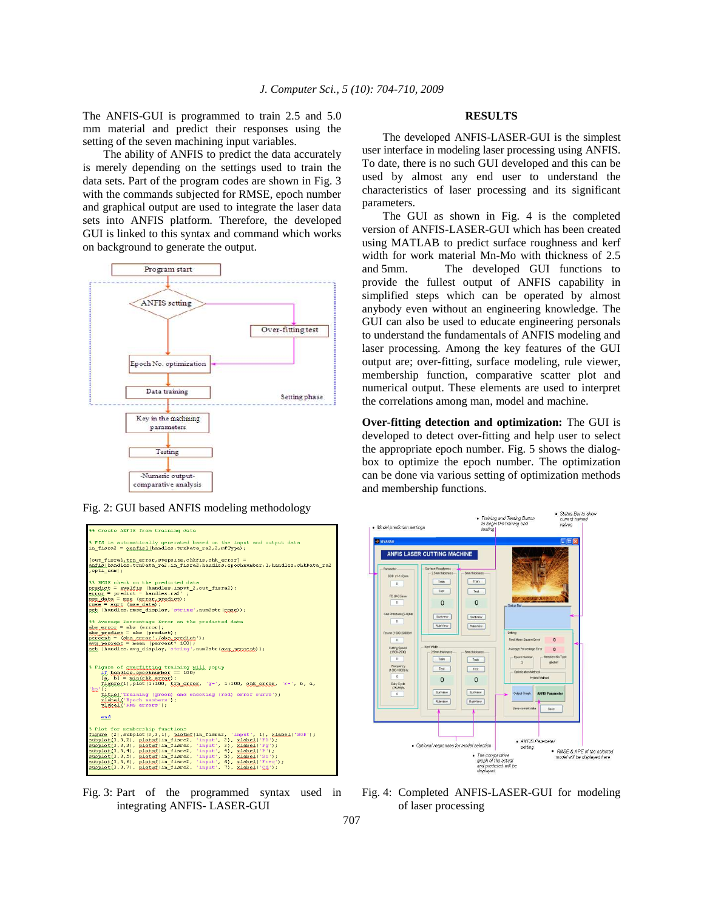The ANFIS-GUI is programmed to train 2.5 and 5.0 mm material and predict their responses using the setting of the seven machining input variables.

 The ability of ANFIS to predict the data accurately is merely depending on the settings used to train the data sets. Part of the program codes are shown in Fig. 3 with the commands subjected for RMSE, epoch number and graphical output are used to integrate the laser data sets into ANFIS platform. Therefore, the developed GUI is linked to this syntax and command which works on background to generate the output.



Fig. 2: GUI based ANFIS modeling methodology



Fig. 3: Part of the programmed syntax used in integrating ANFIS- LASER-GUI

#### **RESULTS**

 The developed ANFIS-LASER-GUI is the simplest user interface in modeling laser processing using ANFIS. To date, there is no such GUI developed and this can be used by almost any end user to understand the characteristics of laser processing and its significant parameters.

 The GUI as shown in Fig. 4 is the completed version of ANFIS-LASER-GUI which has been created using MATLAB to predict surface roughness and kerf width for work material Mn-Mo with thickness of 2.5 and 5mm. The developed GUI functions to provide the fullest output of ANFIS capability in simplified steps which can be operated by almost anybody even without an engineering knowledge. The GUI can also be used to educate engineering personals to understand the fundamentals of ANFIS modeling and laser processing. Among the key features of the GUI output are; over-fitting, surface modeling, rule viewer, membership function, comparative scatter plot and numerical output. These elements are used to interpret the correlations among man, model and machine.

**Over-fitting detection and optimization:** The GUI is developed to detect over-fitting and help user to select the appropriate epoch number. Fig. 5 shows the dialogbox to optimize the epoch number. The optimization can be done via various setting of optimization methods and membership functions.



Fig. 4: Completed ANFIS-LASER-GUI for modeling of laser processing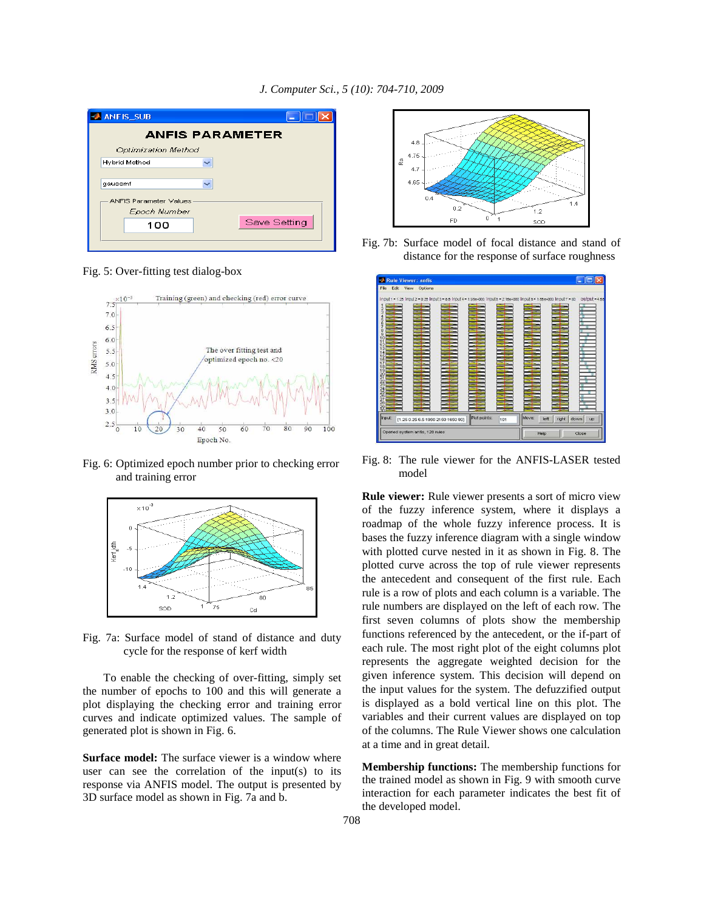| <b>ANFIS SUB</b>              |              |  |
|-------------------------------|--------------|--|
| <b>ANFIS PARAMETER</b>        |              |  |
| Optimization Method           |              |  |
| <b>Hybrid Method</b>          |              |  |
| qaussmf                       |              |  |
| <b>ANFIS Parameter Values</b> |              |  |
| Epoch Number                  |              |  |
| 100                           | Save Setting |  |
|                               |              |  |
|                               |              |  |

Fig. 5: Over-fitting test dialog-box



Fig. 6: Optimized epoch number prior to checking error and training error



Fig. 7a: Surface model of stand of distance and duty cycle for the response of kerf width

 To enable the checking of over-fitting, simply set the number of epochs to 100 and this will generate a plot displaying the checking error and training error curves and indicate optimized values. The sample of generated plot is shown in Fig. 6.

**Surface model:** The surface viewer is a window where user can see the correlation of the input(s) to its response via ANFIS model. The output is presented by 3D surface model as shown in Fig. 7a and b.



Fig. 7b: Surface model of focal distance and stand of distance for the response of surface roughness



Fig. 8: The rule viewer for the ANFIS-LASER tested model

**Rule viewer:** Rule viewer presents a sort of micro view of the fuzzy inference system, where it displays a roadmap of the whole fuzzy inference process. It is bases the fuzzy inference diagram with a single window with plotted curve nested in it as shown in Fig. 8. The plotted curve across the top of rule viewer represents the antecedent and consequent of the first rule. Each rule is a row of plots and each column is a variable. The rule numbers are displayed on the left of each row. The first seven columns of plots show the membership functions referenced by the antecedent, or the if-part of each rule. The most right plot of the eight columns plot represents the aggregate weighted decision for the given inference system. This decision will depend on the input values for the system. The defuzzified output is displayed as a bold vertical line on this plot. The variables and their current values are displayed on top of the columns. The Rule Viewer shows one calculation at a time and in great detail.

**Membership functions:** The membership functions for the trained model as shown in Fig. 9 with smooth curve interaction for each parameter indicates the best fit of the developed model.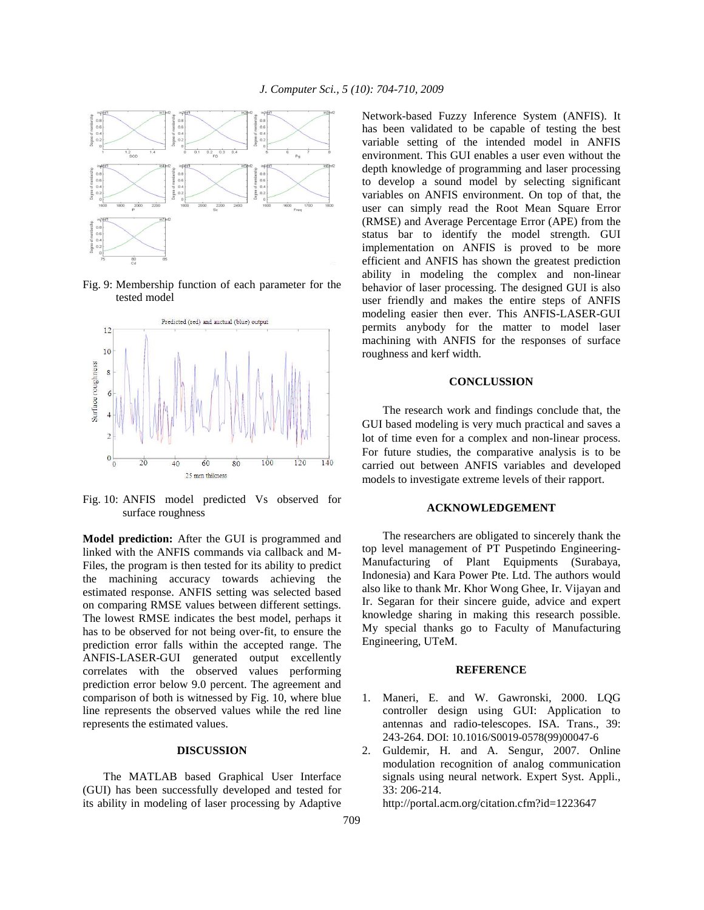

Fig. 9: Membership function of each parameter for the tested model



Fig. 10: ANFIS model predicted Vs observed for surface roughness

**Model prediction:** After the GUI is programmed and linked with the ANFIS commands via callback and M-Files, the program is then tested for its ability to predict the machining accuracy towards achieving the estimated response. ANFIS setting was selected based on comparing RMSE values between different settings. The lowest RMSE indicates the best model, perhaps it has to be observed for not being over-fit, to ensure the prediction error falls within the accepted range. The ANFIS-LASER-GUI generated output excellently correlates with the observed values performing prediction error below 9.0 percent. The agreement and comparison of both is witnessed by Fig. 10, where blue line represents the observed values while the red line represents the estimated values.

### **DISCUSSION**

 The MATLAB based Graphical User Interface (GUI) has been successfully developed and tested for its ability in modeling of laser processing by Adaptive Network-based Fuzzy Inference System (ANFIS). It has been validated to be capable of testing the best variable setting of the intended model in ANFIS environment. This GUI enables a user even without the depth knowledge of programming and laser processing to develop a sound model by selecting significant variables on ANFIS environment. On top of that, the user can simply read the Root Mean Square Error (RMSE) and Average Percentage Error (APE) from the status bar to identify the model strength. GUI implementation on ANFIS is proved to be more efficient and ANFIS has shown the greatest prediction ability in modeling the complex and non-linear behavior of laser processing. The designed GUI is also user friendly and makes the entire steps of ANFIS modeling easier then ever. This ANFIS-LASER-GUI permits anybody for the matter to model laser machining with ANFIS for the responses of surface roughness and kerf width.

#### **CONCLUSSION**

The research work and findings conclude that, the GUI based modeling is very much practical and saves a lot of time even for a complex and non-linear process. For future studies, the comparative analysis is to be carried out between ANFIS variables and developed models to investigate extreme levels of their rapport.

# **ACKNOWLEDGEMENT**

 The researchers are obligated to sincerely thank the top level management of PT Puspetindo Engineering-Manufacturing of Plant Equipments (Surabaya, Indonesia) and Kara Power Pte. Ltd. The authors would also like to thank Mr. Khor Wong Ghee, Ir. Vijayan and Ir. Segaran for their sincere guide, advice and expert knowledge sharing in making this research possible. My special thanks go to Faculty of Manufacturing Engineering, UTeM.

#### **REFERENCE**

- 1. Maneri, E. and W. Gawronski, 2000. LQG controller design using GUI: Application to antennas and radio-telescopes. ISA. Trans., 39: 243-264. DOI: 10.1016/S0019-0578(99)00047-6
- 2. Guldemir, H. and A. Sengur, 2007. Online modulation recognition of analog communication signals using neural network. Expert Syst. Appli., 33: 206-214.

http://portal.acm.org/citation.cfm?id=1223647